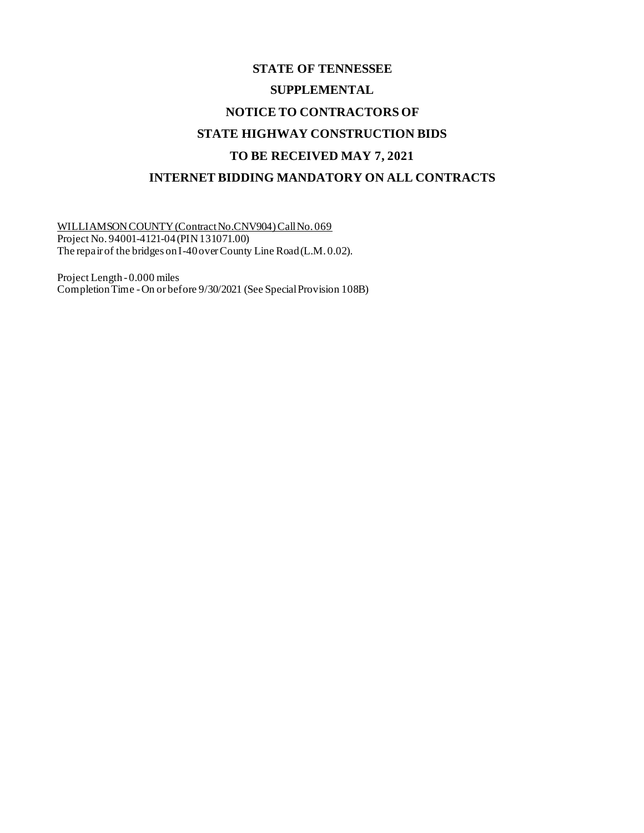## **STATE OF TENNESSEE SUPPLEMENTAL NOTICE TO CONTRACTORS OF STATE HIGHWAY CONSTRUCTION BIDS TO BE RECEIVED MAY 7, 2021 INTERNET BIDDING MANDATORY ON ALL CONTRACTS**

WILLIAMSON COUNTY (Contract No.CNV904) Call No. 069 Project No. 94001-4121-04 (PIN 131071.00) The repair of the bridges on I-40 over County Line Road (L.M. 0.02).

Project Length - 0.000 miles Completion Time -On or before 9/30/2021 (See Special Provision 108B)